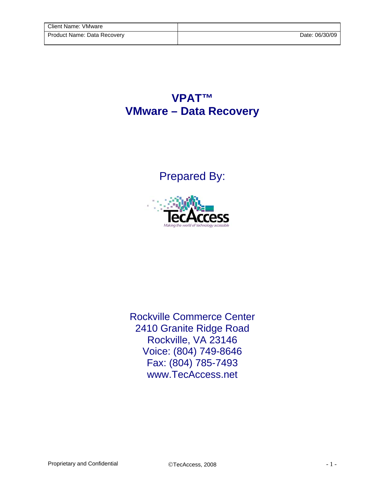## **VPAT™ VMware – Data Recovery**

## Prepared By:



Rockville Commerce Center 2410 Granite Ridge Road Rockville, VA 23146 Voice: (804) 749-8646 Fax: (804) 785-7493 www.TecAccess.net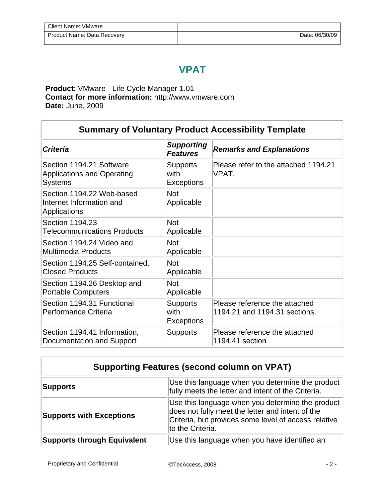## **VPAT**

**Product**: VMware - Life Cycle Manager 1.01 **Contact for more information:** http://www.vmware.com **Date:** June, 2009

| <b>Summary of Voluntary Product Accessibility Template</b>                      |                                              |                                                                |  |
|---------------------------------------------------------------------------------|----------------------------------------------|----------------------------------------------------------------|--|
| <b>Criteria</b>                                                                 | <b>Supporting</b><br><b>Features</b>         | <b>Remarks and Explanations</b>                                |  |
| Section 1194.21 Software<br><b>Applications and Operating</b><br><b>Systems</b> | <b>Supports</b><br>with<br><b>Exceptions</b> | Please refer to the attached 1194.21<br>VPAT.                  |  |
| Section 1194.22 Web-based<br>Internet Information and<br><b>Applications</b>    | <b>Not</b><br>Applicable                     |                                                                |  |
| Section 1194.23<br><b>Telecommunications Products</b>                           | <b>Not</b><br>Applicable                     |                                                                |  |
| Section 1194.24 Video and<br><b>Multimedia Products</b>                         | <b>Not</b><br>Applicable                     |                                                                |  |
| Section 1194.25 Self-contained,<br><b>Closed Products</b>                       | <b>Not</b><br>Applicable                     |                                                                |  |
| Section 1194.26 Desktop and<br><b>Portable Computers</b>                        | <b>Not</b><br>Applicable                     |                                                                |  |
| Section 1194.31 Functional<br>Performance Criteria                              | <b>Supports</b><br>with<br><b>Exceptions</b> | Please reference the attached<br>1194.21 and 1194.31 sections. |  |
| Section 1194.41 Information,<br>Documentation and Support                       | <b>Supports</b>                              | Please reference the attached<br>1194.41 section               |  |

| <b>Supporting Features (second column on VPAT)</b> |                                                                                                                                                                                  |  |
|----------------------------------------------------|----------------------------------------------------------------------------------------------------------------------------------------------------------------------------------|--|
| <b>Supports</b>                                    | Use this language when you determine the product<br>fully meets the letter and intent of the Criteria.                                                                           |  |
| <b>Supports with Exceptions</b>                    | Use this language when you determine the product<br>does not fully meet the letter and intent of the<br>Criteria, but provides some level of access relative<br>to the Criteria. |  |
| <b>Supports through Equivalent</b>                 | Use this language when you have identified an                                                                                                                                    |  |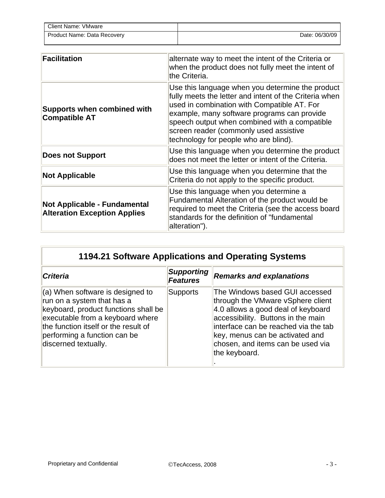| Client Name: VMware         |                |
|-----------------------------|----------------|
| Product Name: Data Recovery | Date: 06/30/09 |

| <b>Facilitation</b>                                                        | alternate way to meet the intent of the Criteria or<br>when the product does not fully meet the intent of<br>the Criteria.                                                                                                                                                                                                                   |
|----------------------------------------------------------------------------|----------------------------------------------------------------------------------------------------------------------------------------------------------------------------------------------------------------------------------------------------------------------------------------------------------------------------------------------|
| <b>Supports when combined with</b><br><b>Compatible AT</b>                 | Use this language when you determine the product<br>fully meets the letter and intent of the Criteria when<br>used in combination with Compatible AT. For<br>example, many software programs can provide<br>speech output when combined with a compatible<br>screen reader (commonly used assistive<br>technology for people who are blind). |
| <b>Does not Support</b>                                                    | Use this language when you determine the product<br>does not meet the letter or intent of the Criteria.                                                                                                                                                                                                                                      |
| <b>Not Applicable</b>                                                      | Use this language when you determine that the<br>Criteria do not apply to the specific product.                                                                                                                                                                                                                                              |
| <b>Not Applicable - Fundamental</b><br><b>Alteration Exception Applies</b> | Use this language when you determine a<br>Fundamental Alteration of the product would be<br>required to meet the Criteria (see the access board<br>standards for the definition of "fundamental<br>alteration").                                                                                                                             |

| <b>1194.21 Software Applications and Operating Systems</b> |  |
|------------------------------------------------------------|--|
|                                                            |  |

| <b>Criteria</b>                                                                                                                                                                                                                            | <b>Supporting</b><br><b>Features</b> | <b>Remarks and explanations</b>                                                                                                                                                                                                                                                  |
|--------------------------------------------------------------------------------------------------------------------------------------------------------------------------------------------------------------------------------------------|--------------------------------------|----------------------------------------------------------------------------------------------------------------------------------------------------------------------------------------------------------------------------------------------------------------------------------|
| (a) When software is designed to<br>run on a system that has a<br>keyboard, product functions shall be<br>executable from a keyboard where<br>the function itself or the result of<br>performing a function can be<br>discerned textually. | <b>Supports</b>                      | The Windows based GUI accessed<br>through the VMware vSphere client<br>4.0 allows a good deal of keyboard<br>accessibility. Buttons in the main<br>interface can be reached via the tab<br>key, menus can be activated and<br>chosen, and items can be used via<br>the keyboard. |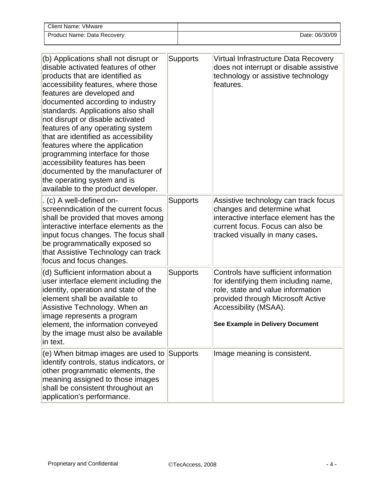| Client Name: VMware         |                |
|-----------------------------|----------------|
| Product Name: Data Recovery | Date: 06/30/09 |

| (b) Applications shall not disrupt or<br>disable activated features of other<br>products that are identified as<br>accessibility features, where those<br>features are developed and<br>documented according to industry<br>standards. Applications also shall<br>not disrupt or disable activated<br>features of any operating system<br>that are identified as accessibility<br>features where the application<br>programming interface for those<br>accessibility features has been<br>documented by the manufacturer of<br>the operating system and is<br>available to the product developer. | <b>Supports</b> | Virtual Infrastructure Data Recovery<br>does not interrupt or disable assistive<br>technology or assistive technology<br>features.                                                                                  |
|---------------------------------------------------------------------------------------------------------------------------------------------------------------------------------------------------------------------------------------------------------------------------------------------------------------------------------------------------------------------------------------------------------------------------------------------------------------------------------------------------------------------------------------------------------------------------------------------------|-----------------|---------------------------------------------------------------------------------------------------------------------------------------------------------------------------------------------------------------------|
| . (c) A well-defined on-<br>screenndication of the current focus<br>shall be provided that moves among<br>interactive interface elements as the<br>input focus changes. The focus shall<br>be programmatically exposed so<br>that Assistive Technology can track<br>focus and focus changes.                                                                                                                                                                                                                                                                                                      | <b>Supports</b> | Assistive technology can track focus<br>changes and determine what<br>interactive interface element has the<br>current focus. Focus can also be<br>tracked visually in many cases.                                  |
| (d) Sufficient information about a<br>user interface element including the<br>identity, operation and state of the<br>element shall be available to<br>Assistive Technology. When an<br>image represents a program<br>element, the information conveyed<br>by the image must also be available<br>in text.                                                                                                                                                                                                                                                                                        | <b>Supports</b> | Controls have sufficient information<br>for identifying them including name,<br>role, state and value information<br>provided through Microsoft Active<br>Accessibility (MSAA).<br>See Example in Delivery Document |
| (e) When bitmap images are used to<br>identify controls, status indicators, or<br>other programmatic elements, the<br>meaning assigned to those images<br>shall be consistent throughout an<br>application's performance.                                                                                                                                                                                                                                                                                                                                                                         | Supports        | Image meaning is consistent.                                                                                                                                                                                        |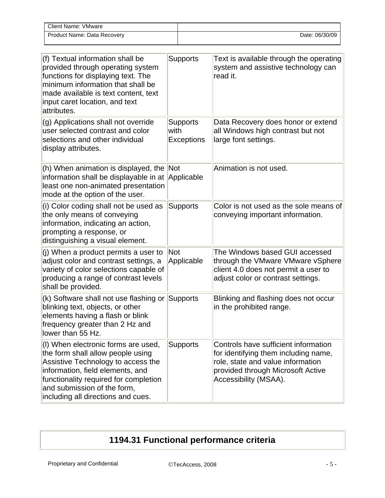| Client Name: VMware         |                |
|-----------------------------|----------------|
| Product Name: Data Recovery | Date: 06/30/09 |

| (f) Textual information shall be<br>provided through operating system<br>functions for displaying text. The<br>minimum information that shall be<br>made available is text content, text<br>input caret location, and text<br>attributes.                        | <b>Supports</b>                              | Text is available through the operating<br>system and assistive technology can<br>read it.                                                                                      |
|------------------------------------------------------------------------------------------------------------------------------------------------------------------------------------------------------------------------------------------------------------------|----------------------------------------------|---------------------------------------------------------------------------------------------------------------------------------------------------------------------------------|
| (g) Applications shall not override<br>user selected contrast and color<br>selections and other individual<br>display attributes.                                                                                                                                | <b>Supports</b><br>with<br><b>Exceptions</b> | Data Recovery does honor or extend<br>all Windows high contrast but not<br>large font settings.                                                                                 |
| (h) When animation is displayed, the Not<br>information shall be displayable in at Applicable<br>least one non-animated presentation<br>mode at the option of the user.                                                                                          |                                              | Animation is not used.                                                                                                                                                          |
| (i) Color coding shall not be used as<br>the only means of conveying<br>information, indicating an action,<br>prompting a response, or<br>distinguishing a visual element.                                                                                       | <b>Supports</b>                              | Color is not used as the sole means of<br>conveying important information.                                                                                                      |
| (j) When a product permits a user to<br>adjust color and contrast settings, a<br>variety of color selections capable of<br>producing a range of contrast levels<br>shall be provided.                                                                            | Not<br>Applicable                            | The Windows based GUI accessed<br>through the VMware VMware vSphere<br>client 4.0 does not permit a user to<br>adjust color or contrast settings.                               |
| (k) Software shall not use flashing or Supports<br>blinking text, objects, or other<br>elements having a flash or blink<br>frequency greater than 2 Hz and<br>lower than 55 Hz.                                                                                  |                                              | Blinking and flashing does not occur<br>in the prohibited range.                                                                                                                |
| (I) When electronic forms are used,<br>the form shall allow people using<br>Assistive Technology to access the<br>information, field elements, and<br>functionality required for completion<br>and submission of the form,<br>including all directions and cues. | <b>Supports</b>                              | Controls have sufficient information<br>for identifying them including name,<br>role, state and value information<br>provided through Microsoft Active<br>Accessibility (MSAA). |

## **1194.31 Functional performance criteria**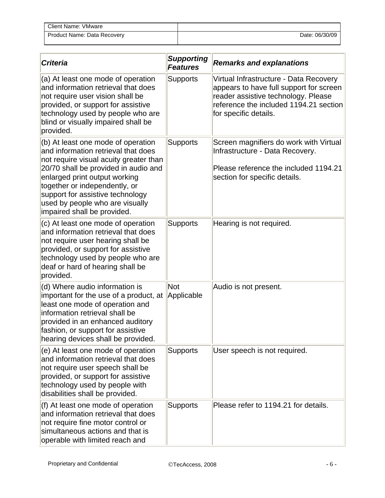| <b>Client Name: VMware</b>  |                |
|-----------------------------|----------------|
| Product Name: Data Recovery | Date: 06/30/09 |

| <b>Criteria</b>                                                                                                                                                                                                                                                                                                                     | <b>Supporting</b><br><b>Features</b> | <b>Remarks and explanations</b>                                                                                                                                                             |
|-------------------------------------------------------------------------------------------------------------------------------------------------------------------------------------------------------------------------------------------------------------------------------------------------------------------------------------|--------------------------------------|---------------------------------------------------------------------------------------------------------------------------------------------------------------------------------------------|
| (a) At least one mode of operation<br>and information retrieval that does<br>not require user vision shall be<br>provided, or support for assistive<br>technology used by people who are<br>blind or visually impaired shall be<br>provided.                                                                                        | <b>Supports</b>                      | Virtual Infrastructure - Data Recovery<br>appears to have full support for screen<br>reader assistive technology. Please<br>reference the included 1194.21 section<br>for specific details. |
| (b) At least one mode of operation<br>and information retrieval that does<br>not require visual acuity greater than<br>20/70 shall be provided in audio and<br>enlarged print output working<br>together or independently, or<br>support for assistive technology<br>used by people who are visually<br>impaired shall be provided. | <b>Supports</b>                      | Screen magnifiers do work with Virtual<br>Infrastructure - Data Recovery.<br>Please reference the included 1194.21<br>section for specific details.                                         |
| (c) At least one mode of operation<br>and information retrieval that does<br>not require user hearing shall be<br>provided, or support for assistive<br>technology used by people who are<br>deaf or hard of hearing shall be<br>provided.                                                                                          | <b>Supports</b>                      | Hearing is not required.                                                                                                                                                                    |
| (d) Where audio information is<br>important for the use of a product, at<br>least one mode of operation and<br>information retrieval shall be<br>provided in an enhanced auditory<br>fashion, or support for assistive<br>hearing devices shall be provided.                                                                        | <b>Not</b><br>Applicable             | Audio is not present.                                                                                                                                                                       |
| (e) At least one mode of operation<br>and information retrieval that does<br>not require user speech shall be<br>provided, or support for assistive<br>technology used by people with<br>disabilities shall be provided.                                                                                                            | <b>Supports</b>                      | User speech is not required.                                                                                                                                                                |
| (f) At least one mode of operation<br>and information retrieval that does<br>not require fine motor control or<br>simultaneous actions and that is<br>operable with limited reach and                                                                                                                                               | <b>Supports</b>                      | Please refer to 1194.21 for details.                                                                                                                                                        |